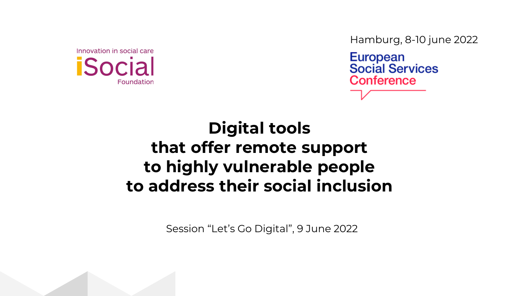

Hamburg, 8-10 june 2022

**European Social Services** Conference

## **Digital tools that offer remote support to highly vulnerable people to address their social inclusion**

Session "Let's Go Digital", 9 June 2022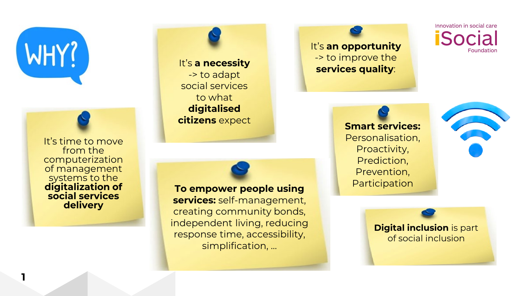

**1**

It's time to move from the computerization of management systems to the **digitalization of social services delivery**

It's **a necessity** -> to adapt social services to what **digitalised citizens** expect

**To empower people using services:** self-management, creating community bonds, independent living, reducing response time, accessibility, simplification, ...

It's **an opportunity** -> to improve the **services quality**:

Innovation in social care **iSocia** Foundation

**Smart services:**  Personalisation, Proactivity, Prediction, Prevention, **Participation** 



**Digital inclusion** is part of social inclusion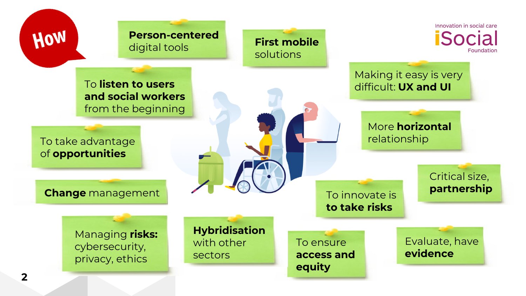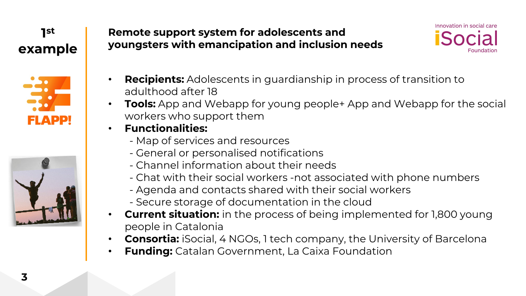### **1st example**





### **Remote support system for adolescents and youngsters with emancipation and inclusion needs**



- **Recipients:** Adolescents in guardianship in process of transition to adulthood after 18
- **Tools:** App and Webapp for young people+ App and Webapp for the social workers who support them
- **Functionalities:**
	- Map of services and resources
	- General or personalised notifications
	- Channel information about their needs
	- Chat with their social workers -not associated with phone numbers
	- Agenda and contacts shared with their social workers
	- Secure storage of documentation in the cloud
- **Current situation:** in the process of being implemented for 1,800 young people in Catalonia
- **Consortia:** iSocial, 4 NGOs, 1 tech company, the University of Barcelona
- **Funding:** Catalan Government, La Caixa Foundation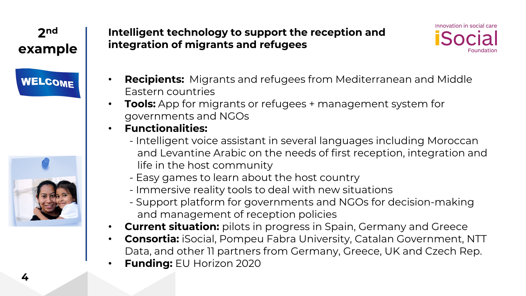# **2nd example WELCOME**



**4**

### **Intelligent technology to support the reception and integration of migrants and refugees**



- **Recipients:** Migrants and refugees from Mediterranean and Middle Eastern countries
- **Tools:** App for migrants or refugees + management system for governments and NGOs
- **Functionalities:**
	- Intelligent voice assistant in several languages including Moroccan and Levantine Arabic on the needs of first reception, integration and life in the host community
	- Easy games to learn about the host country
	- Immersive reality tools to deal with new situations
	- Support platform for governments and NGOs for decision-making and management of reception policies
- **Current situation:** pilots in progress in Spain, Germany and Greece
- **Consortia:** iSocial, Pompeu Fabra University, Catalan Government, NTT Data, and other 11 partners from Germany, Greece, UK and Czech Rep.
- **Funding:** EU Horizon 2020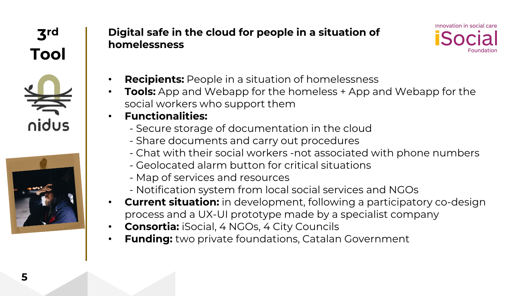

### **Digital safe in the cloud for people in a situation of homelessness**



- **Recipients:** People in a situation of homelessness
- **Tools:** App and Webapp for the homeless + App and Webapp for the social workers who support them
- **Functionalities:**
	- Secure storage of documentation in the cloud
	- Share documents and carry out procedures
	- Chat with their social workers -not associated with phone numbers
	- Geolocated alarm button for critical situations
	- Map of services and resources
	- Notification system from local social services and NGOs
- **Current situation:** in development, following a participatory co-design process and a UX-UI prototype made by a specialist company
- **Consortia:** iSocial, 4 NGOs, 4 City Councils
- **Funding:** two private foundations, Catalan Government